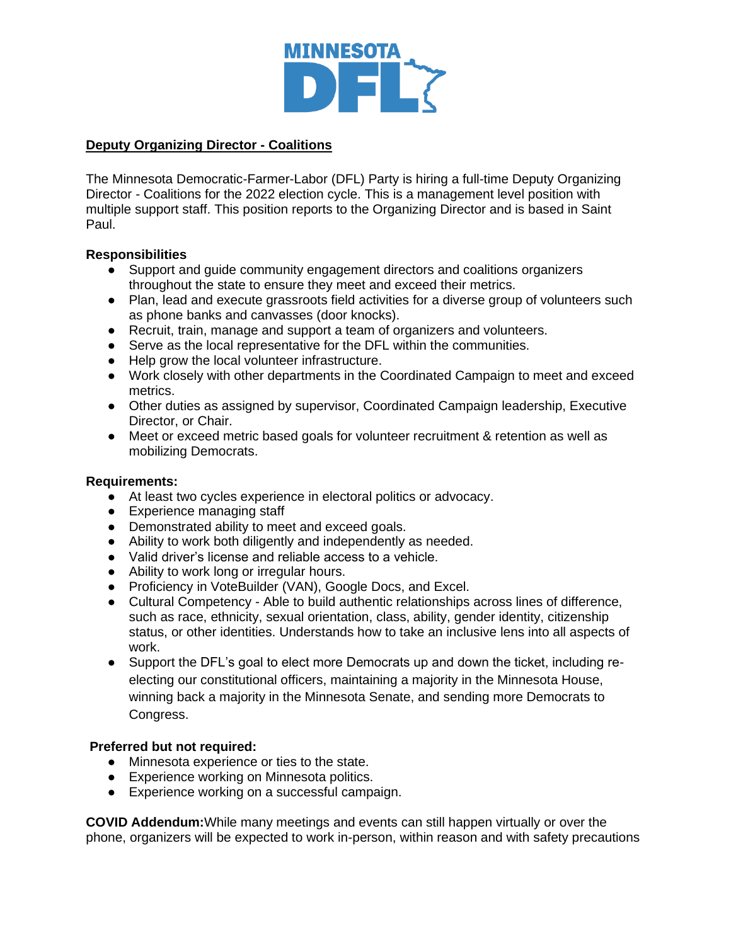

### **Deputy Organizing Director - Coalitions**

The Minnesota Democratic-Farmer-Labor (DFL) Party is hiring a full-time Deputy Organizing Director - Coalitions for the 2022 election cycle. This is a management level position with multiple support staff. This position reports to the Organizing Director and is based in Saint Paul.

#### **Responsibilities**

- Support and guide community engagement directors and coalitions organizers throughout the state to ensure they meet and exceed their metrics.
- Plan, lead and execute grassroots field activities for a diverse group of volunteers such as phone banks and canvasses (door knocks).
- Recruit, train, manage and support a team of organizers and volunteers.
- Serve as the local representative for the DFL within the communities.
- Help grow the local volunteer infrastructure.
- Work closely with other departments in the Coordinated Campaign to meet and exceed metrics.
- Other duties as assigned by supervisor, Coordinated Campaign leadership, Executive Director, or Chair.
- Meet or exceed metric based goals for volunteer recruitment & retention as well as mobilizing Democrats.

#### **Requirements:**

- At least two cycles experience in electoral politics or advocacy.
- Experience managing staff
- Demonstrated ability to meet and exceed goals.
- Ability to work both diligently and independently as needed.
- Valid driver's license and reliable access to a vehicle.
- Ability to work long or irregular hours.
- Proficiency in VoteBuilder (VAN), Google Docs, and Excel.
- Cultural Competency Able to build authentic relationships across lines of difference, such as race, ethnicity, sexual orientation, class, ability, gender identity, citizenship status, or other identities. Understands how to take an inclusive lens into all aspects of work.
- Support the DFL's goal to elect more Democrats up and down the ticket, including reelecting our constitutional officers, maintaining a majority in the Minnesota House, winning back a majority in the Minnesota Senate, and sending more Democrats to Congress.

#### **Preferred but not required:**

- Minnesota experience or ties to the state.
- Experience working on Minnesota politics.
- Experience working on a successful campaign.

**COVID Addendum:**While many meetings and events can still happen virtually or over the phone, organizers will be expected to work in-person, within reason and with safety precautions